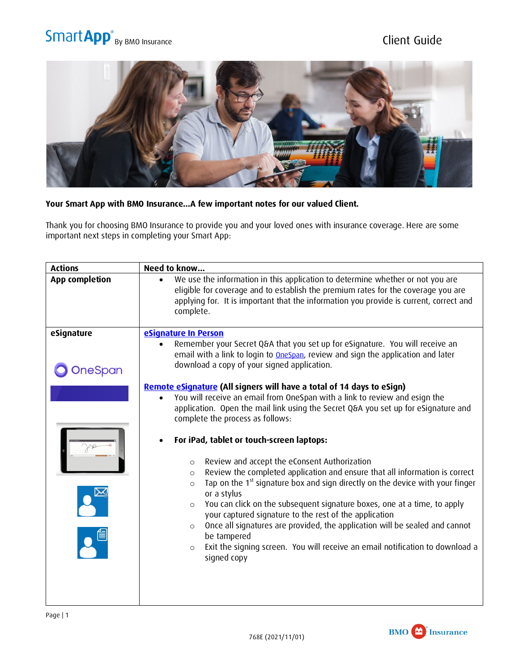## Smart App<sup>®</sup> By BMO Insurance Client Guide



## **Your Smart App with BMO Insurance…A few important notes for our valued Client.**

Thank you for choosing BMO Insurance to provide you and your loved ones with insurance coverage. Here are some important next steps in completing your Smart App:

| <b>Actions</b>        | Need to know                                                                                                                                                                                                                                                                                                                                                   |
|-----------------------|----------------------------------------------------------------------------------------------------------------------------------------------------------------------------------------------------------------------------------------------------------------------------------------------------------------------------------------------------------------|
| <b>App completion</b> | We use the information in this application to determine whether or not you are<br>$\bullet$<br>eligible for coverage and to establish the premium rates for the coverage you are<br>applying for. It is important that the information you provide is current, correct and<br>complete.                                                                        |
| eSignature            | eSignature In Person                                                                                                                                                                                                                                                                                                                                           |
| <b>OneSpan</b>        | Remember your Secret Q&A that you set up for eSignature. You will receive an<br>$\bullet$<br>email with a link to login to <b>OneSpan</b> , review and sign the application and later<br>download a copy of your signed application.                                                                                                                           |
|                       | Remote eSignature (All signers will have a total of 14 days to eSign)<br>You will receive an email from OneSpan with a link to review and esign the<br>application. Open the mail link using the Secret Q&A you set up for eSignature and<br>complete the process as follows:                                                                                  |
|                       | For iPad, tablet or touch-screen laptops:<br>$\bullet$<br>Review and accept the eConsent Authorization<br>$\circ$                                                                                                                                                                                                                                              |
|                       | Review the completed application and ensure that all information is correct<br>$\circ$<br>Tap on the 1 <sup>st</sup> signature box and sign directly on the device with your finger<br>$\circ$<br>or a stylus<br>You can click on the subsequent signature boxes, one at a time, to apply<br>$\circ$<br>your captured signature to the rest of the application |
|                       | Once all signatures are provided, the application will be sealed and cannot<br>$\circ$<br>be tampered<br>Exit the signing screen. You will receive an email notification to download a<br>$\circ$<br>signed copy                                                                                                                                               |
|                       |                                                                                                                                                                                                                                                                                                                                                                |